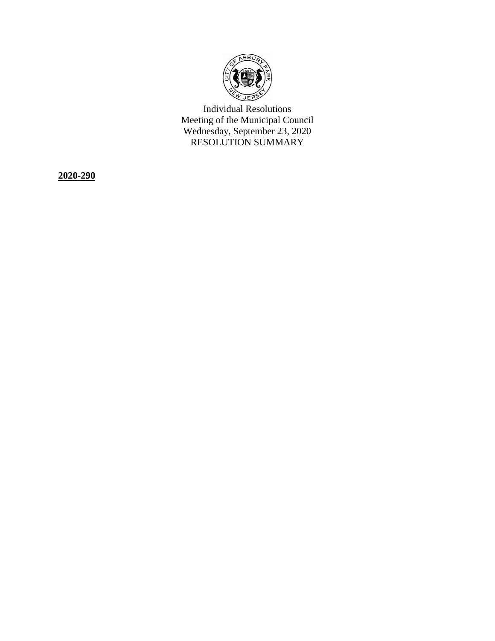

Individual Resolutions Meeting of the Municipal Council Wednesday, September 23, 2020 RESOLUTION SUMMARY

**2020-290**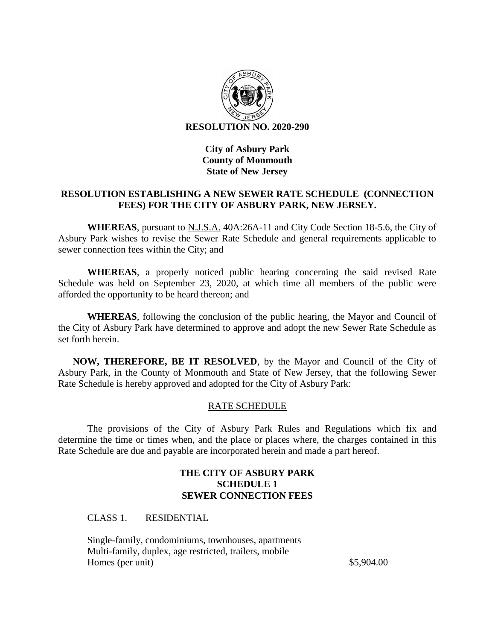

# **City of Asbury Park County of Monmouth State of New Jersey**

# **RESOLUTION ESTABLISHING A NEW SEWER RATE SCHEDULE (CONNECTION FEES) FOR THE CITY OF ASBURY PARK, NEW JERSEY.**

**WHEREAS**, pursuant to N.J.S.A. 40A:26A-11 and City Code Section 18-5.6, the City of Asbury Park wishes to revise the Sewer Rate Schedule and general requirements applicable to sewer connection fees within the City; and

**WHEREAS**, a properly noticed public hearing concerning the said revised Rate Schedule was held on September 23, 2020, at which time all members of the public were afforded the opportunity to be heard thereon; and

**WHEREAS**, following the conclusion of the public hearing, the Mayor and Council of the City of Asbury Park have determined to approve and adopt the new Sewer Rate Schedule as set forth herein.

**NOW, THEREFORE, BE IT RESOLVED**, by the Mayor and Council of the City of Asbury Park, in the County of Monmouth and State of New Jersey, that the following Sewer Rate Schedule is hereby approved and adopted for the City of Asbury Park:

# RATE SCHEDULE

The provisions of the City of Asbury Park Rules and Regulations which fix and determine the time or times when, and the place or places where, the charges contained in this Rate Schedule are due and payable are incorporated herein and made a part hereof.

## **THE CITY OF ASBURY PARK SCHEDULE 1 SEWER CONNECTION FEES**

CLASS 1. RESIDENTIAL

Single-family, condominiums, townhouses, apartments Multi-family, duplex, age restricted, trailers, mobile Homes (per unit) \$5,904.00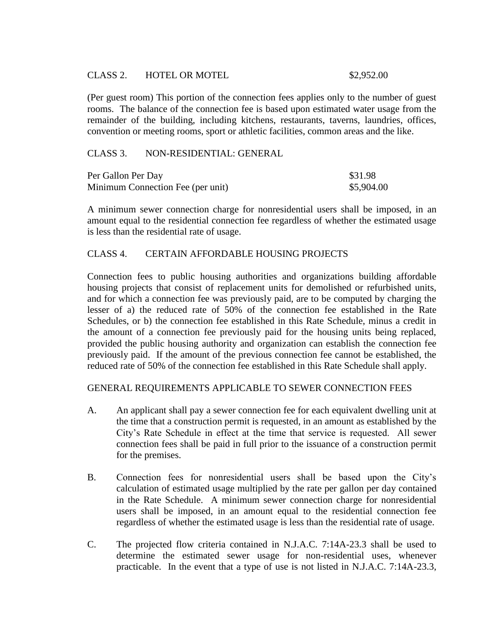## CLASS 2. HOTEL OR MOTEL 62.952.00

(Per guest room) This portion of the connection fees applies only to the number of guest rooms. The balance of the connection fee is based upon estimated water usage from the remainder of the building, including kitchens, restaurants, taverns, laundries, offices, convention or meeting rooms, sport or athletic facilities, common areas and the like.

## CLASS 3. NON-RESIDENTIAL: GENERAL

| Per Gallon Per Day                | \$31.98    |
|-----------------------------------|------------|
| Minimum Connection Fee (per unit) | \$5,904.00 |

A minimum sewer connection charge for nonresidential users shall be imposed, in an amount equal to the residential connection fee regardless of whether the estimated usage is less than the residential rate of usage.

## CLASS 4. CERTAIN AFFORDABLE HOUSING PROJECTS

Connection fees to public housing authorities and organizations building affordable housing projects that consist of replacement units for demolished or refurbished units, and for which a connection fee was previously paid, are to be computed by charging the lesser of a) the reduced rate of 50% of the connection fee established in the Rate Schedules, or b) the connection fee established in this Rate Schedule, minus a credit in the amount of a connection fee previously paid for the housing units being replaced, provided the public housing authority and organization can establish the connection fee previously paid. If the amount of the previous connection fee cannot be established, the reduced rate of 50% of the connection fee established in this Rate Schedule shall apply.

## GENERAL REQUIREMENTS APPLICABLE TO SEWER CONNECTION FEES

- A. An applicant shall pay a sewer connection fee for each equivalent dwelling unit at the time that a construction permit is requested, in an amount as established by the City's Rate Schedule in effect at the time that service is requested. All sewer connection fees shall be paid in full prior to the issuance of a construction permit for the premises.
- B. Connection fees for nonresidential users shall be based upon the City's calculation of estimated usage multiplied by the rate per gallon per day contained in the Rate Schedule. A minimum sewer connection charge for nonresidential users shall be imposed, in an amount equal to the residential connection fee regardless of whether the estimated usage is less than the residential rate of usage.
- C. The projected flow criteria contained in N.J.A.C. 7:14A-23.3 shall be used to determine the estimated sewer usage for non-residential uses, whenever practicable. In the event that a type of use is not listed in N.J.A.C. 7:14A-23.3,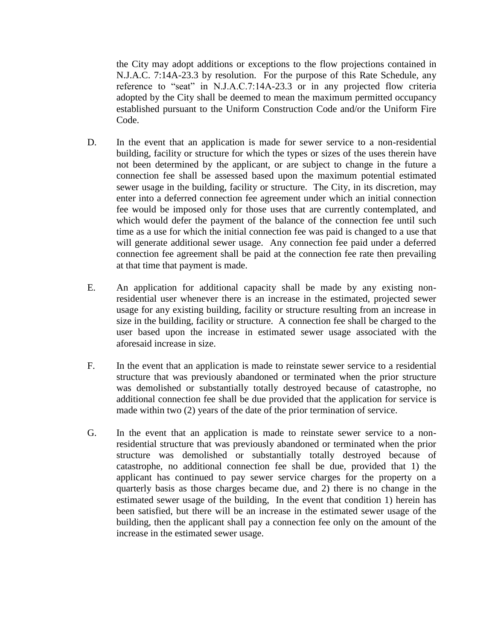the City may adopt additions or exceptions to the flow projections contained in N.J.A.C. 7:14A-23.3 by resolution. For the purpose of this Rate Schedule, any reference to "seat" in N.J.A.C.7:14A-23.3 or in any projected flow criteria adopted by the City shall be deemed to mean the maximum permitted occupancy established pursuant to the Uniform Construction Code and/or the Uniform Fire Code.

- D. In the event that an application is made for sewer service to a non-residential building, facility or structure for which the types or sizes of the uses therein have not been determined by the applicant, or are subject to change in the future a connection fee shall be assessed based upon the maximum potential estimated sewer usage in the building, facility or structure. The City, in its discretion, may enter into a deferred connection fee agreement under which an initial connection fee would be imposed only for those uses that are currently contemplated, and which would defer the payment of the balance of the connection fee until such time as a use for which the initial connection fee was paid is changed to a use that will generate additional sewer usage. Any connection fee paid under a deferred connection fee agreement shall be paid at the connection fee rate then prevailing at that time that payment is made.
- E. An application for additional capacity shall be made by any existing nonresidential user whenever there is an increase in the estimated, projected sewer usage for any existing building, facility or structure resulting from an increase in size in the building, facility or structure. A connection fee shall be charged to the user based upon the increase in estimated sewer usage associated with the aforesaid increase in size.
- F. In the event that an application is made to reinstate sewer service to a residential structure that was previously abandoned or terminated when the prior structure was demolished or substantially totally destroyed because of catastrophe, no additional connection fee shall be due provided that the application for service is made within two (2) years of the date of the prior termination of service.
- G. In the event that an application is made to reinstate sewer service to a nonresidential structure that was previously abandoned or terminated when the prior structure was demolished or substantially totally destroyed because of catastrophe, no additional connection fee shall be due, provided that 1) the applicant has continued to pay sewer service charges for the property on a quarterly basis as those charges became due, and 2) there is no change in the estimated sewer usage of the building, In the event that condition 1) herein has been satisfied, but there will be an increase in the estimated sewer usage of the building, then the applicant shall pay a connection fee only on the amount of the increase in the estimated sewer usage.